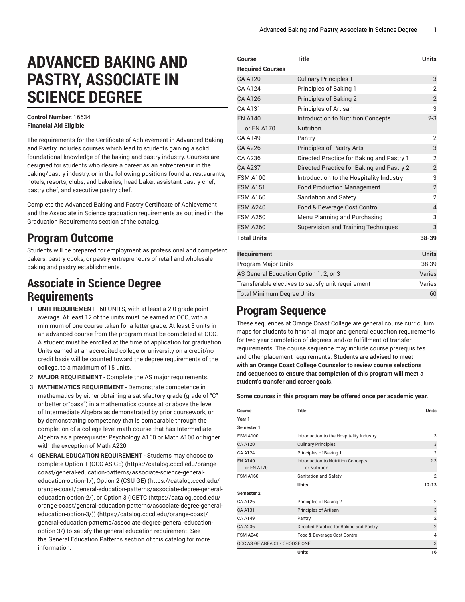# **ADVANCED BAKING AND PASTRY, ASSOCIATE IN SCIENCE DEGREE**

#### **Control Number:** 16634 **Financial Aid Eligible**

The requirements for the Certificate of Achievement in Advanced Baking and Pastry includes courses which lead to students gaining a solid foundational knowledge of the baking and pastry industry. Courses are designed for students who desire a career as an entrepreneur in the baking/pastry industry, or in the following positions found at restaurants, hotels, resorts, clubs, and bakeries; head baker, assistant pastry chef, pastry chef, and executive pastry chef.

Complete the Advanced Baking and Pastry Certificate of Achievement and the Associate in Science graduation requirements as outlined in the Graduation Requirements section of the catalog.

## **Program Outcome**

Students will be prepared for employment as professional and competent bakers, pastry cooks, or pastry entrepreneurs of retail and wholesale baking and pastry establishments.

#### **Associate in Science Degree Requirements**

- 1. **UNIT REQUIREMENT** 60 UNITS, with at least a 2.0 grade point average. At least 12 of the units must be earned at OCC, with a minimum of one course taken for a letter grade. At least 3 units in an advanced course from the program must be completed at OCC. A student must be enrolled at the time of application for graduation. Units earned at an accredited college or university on a credit/no credit basis will be counted toward the degree requirements of the college, to a maximum of 15 units.
- 2. **MAJOR REQUIREMENT** Complete the AS major requirements.
- 3. **MATHEMATICS REQUIREMENT** Demonstrate competence in mathematics by either obtaining a satisfactory grade (grade of "C" or better or"pass") in a mathematics course at or above the level of Intermediate Algebra as demonstrated by prior coursework, or by demonstrating competency that is comparable through the completion of a college-level math course that has Intermediate Algebra as a prerequisite: Psychology A160 or Math A100 or higher, with the exception of Math A220.
- 4. **GENERAL EDUCATION REQUIREMENT** Students may choose to complete [Option 1 \(OCC AS GE\)](https://catalog.cccd.edu/orange-coast/general-education-patterns/associate-science-general-education-option-1/) ([https://catalog.cccd.edu/orange](https://catalog.cccd.edu/orange-coast/general-education-patterns/associate-science-general-education-option-1/)[coast/general-education-patterns/associate-science-general](https://catalog.cccd.edu/orange-coast/general-education-patterns/associate-science-general-education-option-1/)[education-option-1/\)](https://catalog.cccd.edu/orange-coast/general-education-patterns/associate-science-general-education-option-1/), [Option 2 \(CSU GE\)](https://catalog.cccd.edu/orange-coast/general-education-patterns/associate-degree-general-education-option-2/) ([https://catalog.cccd.edu/](https://catalog.cccd.edu/orange-coast/general-education-patterns/associate-degree-general-education-option-2/) [orange-coast/general-education-patterns/associate-degree-general](https://catalog.cccd.edu/orange-coast/general-education-patterns/associate-degree-general-education-option-2/)[education-option-2/\)](https://catalog.cccd.edu/orange-coast/general-education-patterns/associate-degree-general-education-option-2/), or [Option](https://catalog.cccd.edu/orange-coast/general-education-patterns/associate-degree-general-education-option-3/) 3 (IGETC [\(https://catalog.cccd.edu/](https://catalog.cccd.edu/orange-coast/general-education-patterns/associate-degree-general-education-option-3/) [orange-coast/general-education-patterns/associate-degree-general](https://catalog.cccd.edu/orange-coast/general-education-patterns/associate-degree-general-education-option-3/)[education-option-3/\)\)](https://catalog.cccd.edu/orange-coast/general-education-patterns/associate-degree-general-education-option-3/) ([https://catalog.cccd.edu/orange-coast/](https://catalog.cccd.edu/orange-coast/general-education-patterns/associate-degree-general-education-option-3/) [general-education-patterns/associate-degree-general-education](https://catalog.cccd.edu/orange-coast/general-education-patterns/associate-degree-general-education-option-3/)[option-3/\)](https://catalog.cccd.edu/orange-coast/general-education-patterns/associate-degree-general-education-option-3/) to satisfy the general education requirement. See the General Education Patterns section of this catalog for more information.

| Course                                             | <b>Title</b>                               | <b>Units</b>   |
|----------------------------------------------------|--------------------------------------------|----------------|
| <b>Required Courses</b>                            |                                            |                |
| <b>CA A120</b>                                     | <b>Culinary Principles 1</b>               | 3              |
| <b>CA A124</b>                                     | Principles of Baking 1                     | $\overline{2}$ |
| CA A126                                            | <b>Principles of Baking 2</b>              | $\overline{2}$ |
| CA A131                                            | <b>Principles of Artisan</b>               | 3              |
| <b>FN A140</b>                                     | <b>Introduction to Nutrition Concepts</b>  | $2 - 3$        |
| or FN A170                                         | <b>Nutrition</b>                           |                |
| CA A149                                            | Pantry                                     | 2              |
| <b>CA A226</b>                                     | <b>Principles of Pastry Arts</b>           | 3              |
| CA A236                                            | Directed Practice for Baking and Pastry 1  | 2              |
| <b>CA A237</b>                                     | Directed Practice for Baking and Pastry 2  | $\overline{2}$ |
| <b>FSM A100</b>                                    | Introduction to the Hospitality Industry   | 3              |
| <b>FSM A151</b>                                    | <b>Food Production Management</b>          | $\overline{2}$ |
| <b>FSM A160</b>                                    | <b>Sanitation and Safety</b>               | $\overline{2}$ |
| <b>FSM A240</b>                                    | Food & Beverage Cost Control               | $\overline{4}$ |
| <b>FSM A250</b>                                    | Menu Planning and Purchasing               | 3              |
| <b>FSM A260</b>                                    | <b>Supervision and Training Techniques</b> | 3              |
| <b>Total Units</b>                                 |                                            | 38-39          |
| Requirement                                        |                                            | <b>Units</b>   |
| <b>Program Major Units</b>                         |                                            | 38-39          |
| AS General Education Option 1, 2, or 3             |                                            |                |
| Transferable electives to satisfy unit requirement |                                            |                |
| <b>Total Minimum Degree Units</b>                  |                                            |                |
|                                                    |                                            |                |

### **Program Sequence**

These sequences at Orange Coast College are general course curriculum maps for students to finish all major and general education requirements for two-year completion of degrees, and/or fulfillment of transfer requirements. The course sequence may include course prerequisites and other placement requirements. **Students are advised to meet with an Orange Coast College Counselor to review course selections and sequences to ensure that completion of this program will meet a student's transfer and career goals.**

**Some courses in this program may be offered once per academic year.**

| Course                         | <b>Title</b>                                              | <b>Units</b>   |
|--------------------------------|-----------------------------------------------------------|----------------|
| Year 1                         |                                                           |                |
| Semester 1                     |                                                           |                |
| <b>FSM A100</b>                | Introduction to the Hospitality Industry                  | 3              |
| <b>CA A120</b>                 | <b>Culinary Principles 1</b>                              | 3              |
| <b>CA A124</b>                 | Principles of Baking 1                                    | $\overline{2}$ |
| <b>FN A140</b><br>or FN A170   | <b>Introduction to Nutrition Concepts</b><br>or Nutrition | $2 - 3$        |
| <b>FSM A160</b>                | Sanitation and Safety                                     | $\overline{2}$ |
|                                |                                                           |                |
|                                | <b>Units</b>                                              | $12 - 13$      |
| Semester 2                     |                                                           |                |
| CA A126                        | Principles of Baking 2                                    | $\overline{2}$ |
| CA A131                        | Principles of Artisan                                     | 3              |
| CA A149                        | Pantry                                                    | $\overline{2}$ |
| CA A236                        | Directed Practice for Baking and Pastry 1                 | $\overline{2}$ |
| <b>FSM A240</b>                | Food & Beverage Cost Control                              | $\overline{4}$ |
| OCC AS GE AREA C1 - CHOOSE ONE |                                                           | 3              |